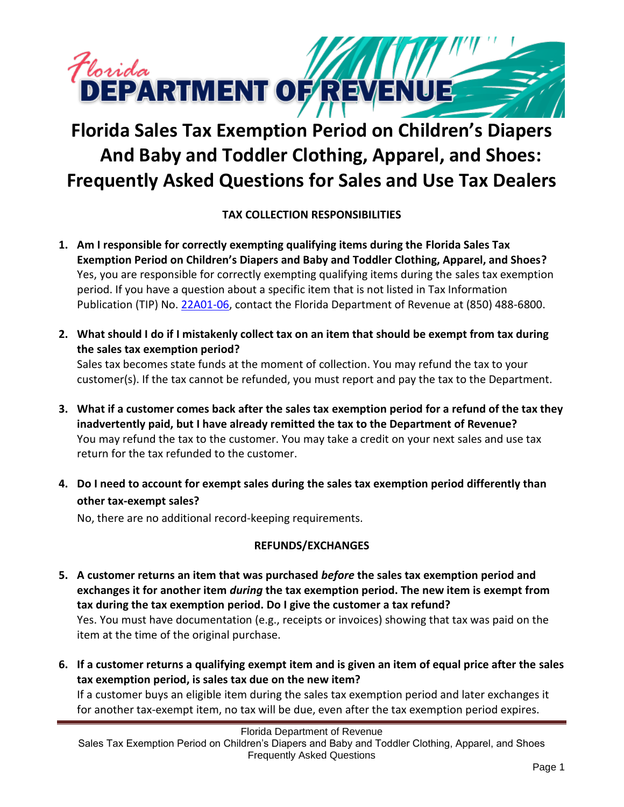

# **Florida Sales Tax Exemption Period on Children's Diapers And Baby and Toddler Clothing, Apparel, and Shoes: Frequently Asked Questions for Sales and Use Tax Dealers**

## **TAX COLLECTION RESPONSIBILITIES**

- **1. Am I responsible for correctly exempting qualifying items during the Florida Sales Tax Exemption Period on Children's Diapers and Baby and Toddler Clothing, Apparel, and Shoes?** Yes, you are responsible for correctly exempting qualifying items during the sales tax exemption period. If you have a question about a specific item that is not listed in Tax Information Publication (TIP) No[. 22A01-06,](https://floridarevenue.com/taxes/tips/Documents/TIP_22A01-06.pdf) contact the Florida Department of Revenue at (850) 488-6800.
- **2. What should I do if I mistakenly collect tax on an item that should be exempt from tax during the sales tax exemption period?**

Sales tax becomes state funds at the moment of collection. You may refund the tax to your customer(s). If the tax cannot be refunded, you must report and pay the tax to the Department.

- **3. What if a customer comes back after the sales tax exemption period for a refund of the tax they inadvertently paid, but I have already remitted the tax to the Department of Revenue?** You may refund the tax to the customer. You may take a credit on your next sales and use tax return for the tax refunded to the customer.
- **4. Do I need to account for exempt sales during the sales tax exemption period differently than other tax-exempt sales?**

No, there are no additional record-keeping requirements.

## **REFUNDS/EXCHANGES**

- **5. A customer returns an item that was purchased** *before* **the sales tax exemption period and exchanges it for another item** *during* **the tax exemption period. The new item is exempt from tax during the tax exemption period. Do I give the customer a tax refund?** Yes. You must have documentation (e.g., receipts or invoices) showing that tax was paid on the item at the time of the original purchase.
- **6. If a customer returns a qualifying exempt item and is given an item of equal price after the sales tax exemption period, is sales tax due on the new item?**

If a customer buys an eligible item during the sales tax exemption period and later exchanges it for another tax-exempt item, no tax will be due, even after the tax exemption period expires.

Florida Department of Revenue

Sales Tax Exemption Period on Children's Diapers and Baby and Toddler Clothing, Apparel, and Shoes Frequently Asked Questions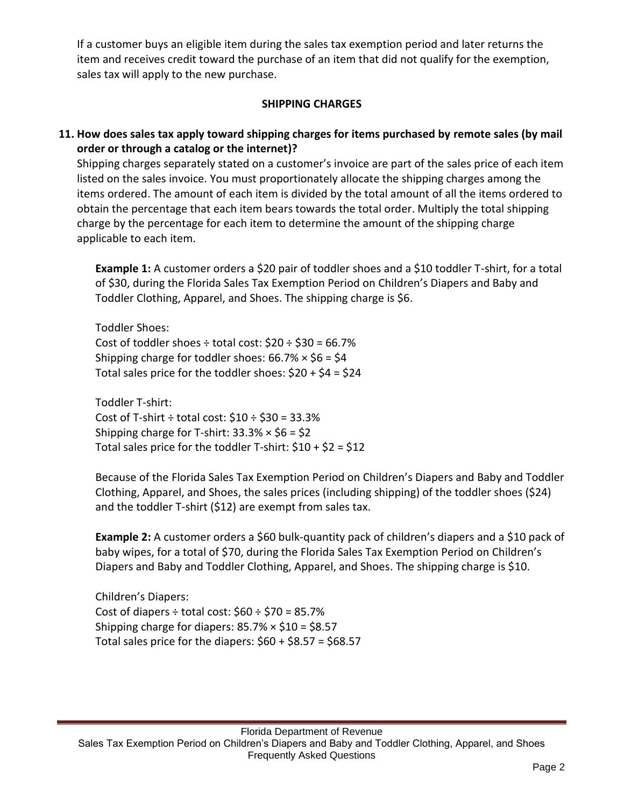If a customer buys an eligible item during the sales tax exemption period and later returns the item and receives credit toward the purchase of an item that did not qualify for the exemption, sales tax will apply to the new purchase.

#### **SHIPPING CHARGES**

## **11. How does sales tax apply toward shipping charges for items purchased by remote sales (by mail order or through a catalog or the internet)?**

Shipping charges separately stated on a customer's invoice are part of the sales price of each item listed on the sales invoice. You must proportionately allocate the shipping charges among the items ordered. The amount of each item is divided by the total amount of all the items ordered to obtain the percentage that each item bears towards the total order. Multiply the total shipping charge by the percentage for each item to determine the amount of the shipping charge applicable to each item.

**Example 1:** A customer orders a \$20 pair of toddler shoes and a \$10 toddler T-shirt, for a total of \$30, during the Florida Sales Tax Exemption Period on Children's Diapers and Baby and Toddler Clothing, Apparel, and Shoes. The shipping charge is \$6.

Toddler Shoes: Cost of toddler shoes  $\div$  total cost:  $$20 \div $30 = 66.7\%$ Shipping charge for toddler shoes:  $66.7\% \times $6 = $4$ Total sales price for the toddler shoes:  $$20 + $4 = $24$ 

Toddler T-shirt: Cost of T-shirt  $\div$  total cost:  $$10 \div $30 = 33.3\%$ Shipping charge for T-shirt:  $33.3\% \times $6 = $2$ Total sales price for the toddler T-shirt:  $$10 + $2 = $12$ 

Because of the Florida Sales Tax Exemption Period on Children's Diapers and Baby and Toddler Clothing, Apparel, and Shoes, the sales prices (including shipping) of the toddler shoes (\$24) and the toddler T-shirt (\$12) are exempt from sales tax.

**Example 2:** A customer orders a \$60 bulk-quantity pack of children's diapers and a \$10 pack of baby wipes, for a total of \$70, during the Florida Sales Tax Exemption Period on Children's Diapers and Baby and Toddler Clothing, Apparel, and Shoes. The shipping charge is \$10.

Children's Diapers: Cost of diapers  $\div$  total cost:  $$60 \div $70 = 85.7\%$ Shipping charge for diapers:  $85.7\% \times $10 = $8.57$ Total sales price for the diapers:  $$60 + $8.57 = $68.57$